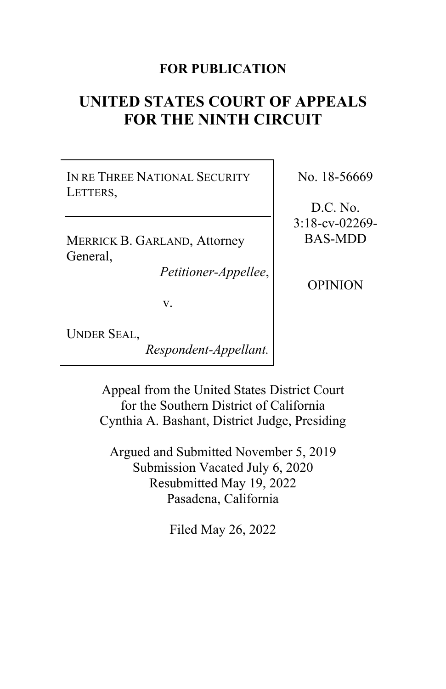# **FOR PUBLICATION**

# **UNITED STATES COURT OF APPEALS FOR THE NINTH CIRCUIT**

IN RE THREE NATIONAL SECURITY LETTERS,

MERRICK B. GARLAND, Attorney General,

*Petitioner-Appellee*,

v.

UNDER SEAL,

*Respondent-Appellant.*

No. 18-56669

D.C. No. 3:18-cv-02269- BAS-MDD

OPINION

Appeal from the United States District Court for the Southern District of California Cynthia A. Bashant, District Judge, Presiding

Argued and Submitted November 5, 2019 Submission Vacated July 6, 2020 Resubmitted May 19, 2022 Pasadena, California

Filed May 26, 2022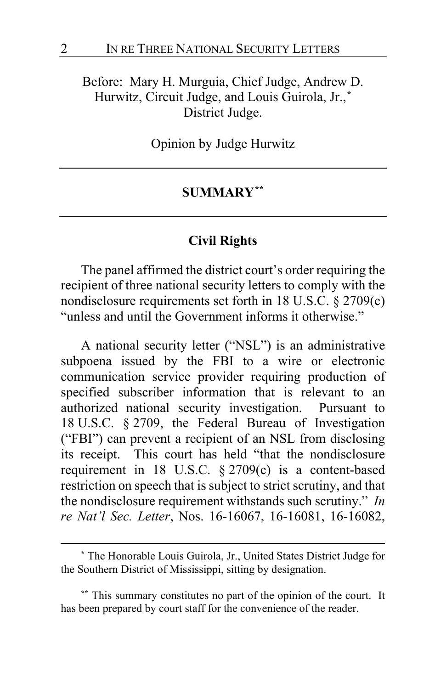Before: Mary H. Murguia, Chief Judge, Andrew D. Hurwitz, Circuit Judge, and Louis Guirola, Jr.,**[\\*](#page-1-0)** District Judge.

Opinion by Judge Hurwitz

## **SUMMARY[\\*\\*](#page-1-1)**

# **Civil Rights**

The panel affirmed the district court's order requiring the recipient of three national security letters to comply with the nondisclosure requirements set forth in 18 U.S.C. § 2709(c) "unless and until the Government informs it otherwise."

A national security letter ("NSL") is an administrative subpoena issued by the FBI to a wire or electronic communication service provider requiring production of specified subscriber information that is relevant to an authorized national security investigation. Pursuant to 18 U.S.C. § 2709, the Federal Bureau of Investigation ("FBI") can prevent a recipient of an NSL from disclosing its receipt. This court has held "that the nondisclosure requirement in 18 U.S.C. § 2709(c) is a content-based restriction on speech that is subject to strict scrutiny, and that the nondisclosure requirement withstands such scrutiny." *In re Nat'l Sec. Letter*, Nos. 16-16067, 16-16081, 16-16082,

<span id="page-1-0"></span>**<sup>\*</sup>** The Honorable Louis Guirola, Jr., United States District Judge for the Southern District of Mississippi, sitting by designation.

<span id="page-1-1"></span>**<sup>\*\*</sup>** This summary constitutes no part of the opinion of the court. It has been prepared by court staff for the convenience of the reader.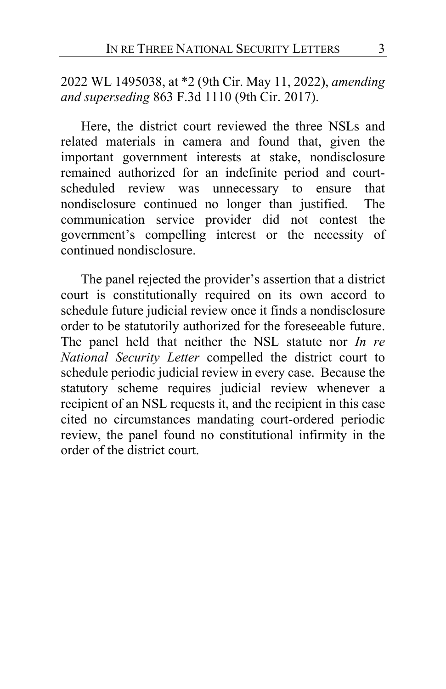2022 WL 1495038, at \*2 (9th Cir. May 11, 2022), *amending and superseding* 863 F.3d 1110 (9th Cir. 2017).

Here, the district court reviewed the three NSLs and related materials in camera and found that, given the important government interests at stake, nondisclosure remained authorized for an indefinite period and courtscheduled review was unnecessary to ensure that nondisclosure continued no longer than justified. The communication service provider did not contest the government's compelling interest or the necessity of continued nondisclosure.

The panel rejected the provider's assertion that a district court is constitutionally required on its own accord to schedule future judicial review once it finds a nondisclosure order to be statutorily authorized for the foreseeable future. The panel held that neither the NSL statute nor *In re National Security Letter* compelled the district court to schedule periodic judicial review in every case. Because the statutory scheme requires judicial review whenever a recipient of an NSL requests it, and the recipient in this case cited no circumstances mandating court-ordered periodic review, the panel found no constitutional infirmity in the order of the district court.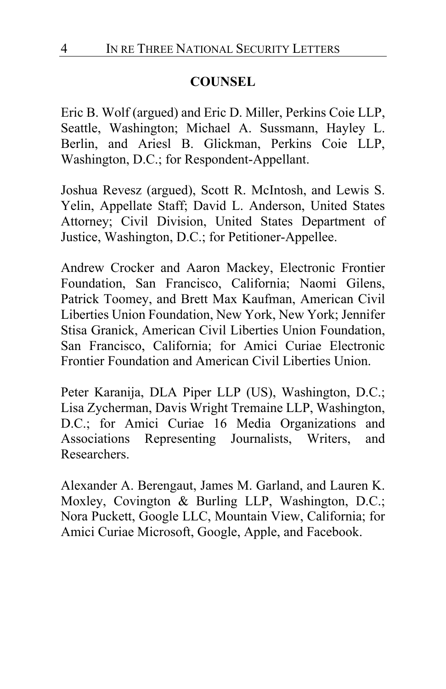# **COUNSEL**

Eric B. Wolf (argued) and Eric D. Miller, Perkins Coie LLP, Seattle, Washington; Michael A. Sussmann, Hayley L. Berlin, and Ariesl B. Glickman, Perkins Coie LLP, Washington, D.C.; for Respondent-Appellant.

Joshua Revesz (argued), Scott R. McIntosh, and Lewis S. Yelin, Appellate Staff; David L. Anderson, United States Attorney; Civil Division, United States Department of Justice, Washington, D.C.; for Petitioner-Appellee.

Andrew Crocker and Aaron Mackey, Electronic Frontier Foundation, San Francisco, California; Naomi Gilens, Patrick Toomey, and Brett Max Kaufman, American Civil Liberties Union Foundation, New York, New York; Jennifer Stisa Granick, American Civil Liberties Union Foundation, San Francisco, California; for Amici Curiae Electronic Frontier Foundation and American Civil Liberties Union.

Peter Karanija, DLA Piper LLP (US), Washington, D.C.; Lisa Zycherman, Davis Wright Tremaine LLP, Washington, D.C.; for Amici Curiae 16 Media Organizations and Associations Representing Journalists, Writers, and Researchers.

Alexander A. Berengaut, James M. Garland, and Lauren K. Moxley, Covington & Burling LLP, Washington, D.C.; Nora Puckett, Google LLC, Mountain View, California; for Amici Curiae Microsoft, Google, Apple, and Facebook.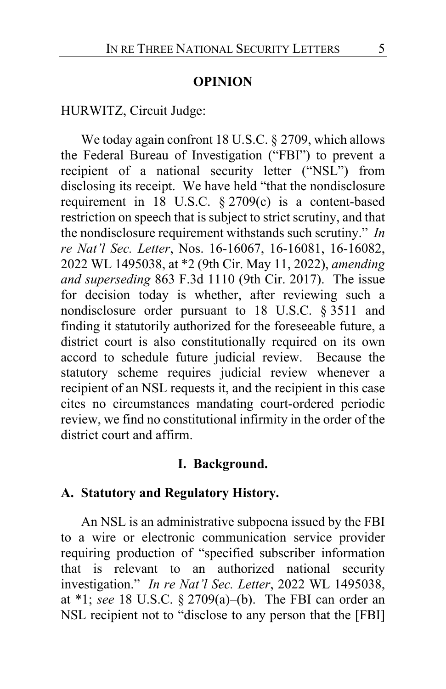## **OPINION**

HURWITZ, Circuit Judge:

We today again confront 18 U.S.C. § 2709, which allows the Federal Bureau of Investigation ("FBI") to prevent a recipient of a national security letter ("NSL") from disclosing its receipt. We have held "that the nondisclosure requirement in [18 U.S.C. §](https://1.next.westlaw.com/Link/Document/FullText?findType=L&pubNum=1000546&cite=18USCAS2709&originatingDoc=Icb93a4406b1711e794a1f7ff5c621124&refType=SP&originationContext=document&transitionType=DocumentItem&contextData=(sc.Default)#co_pp_4b24000003ba5) 2709(c) is a content-based restriction on speech that is subject to strict scrutiny, and that the nondisclosure requirement withstands such scrutiny." *In re Nat'l Sec. Letter*, Nos. 16-16067, 16-16081, 16-16082, 2022 WL 1495038, at \*2 (9th Cir. May 11, 2022), *amending and superseding* 863 F.3d 1110 (9th Cir. 2017). The issue for decision today is whether, after reviewing such a nondisclosure order pursuant to 18 U.S.C. § 3511 and finding it statutorily authorized for the foreseeable future, a district court is also constitutionally required on its own accord to schedule future judicial review. Because the statutory scheme requires judicial review whenever a recipient of an NSL requests it, and the recipient in this case cites no circumstances mandating court-ordered periodic review, we find no constitutional infirmity in the order of the district court and affirm.

#### **I. Background.**

# **A. Statutory and Regulatory History.**

An NSL is an administrative subpoena issued by the FBI to a wire or electronic communication service provider requiring production of "specified subscriber information that is relevant to an authorized national security investigation." *In re Nat'l Sec. Letter*, 2022 WL 1495038, at \*1; *see* 18 U.S.C. § 2709(a)–(b). The FBI can order an NSL recipient not to "disclose to any person that the [FBI]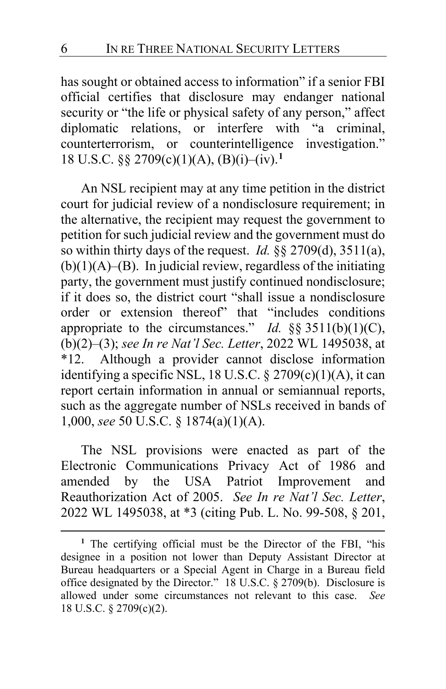has sought or obtained access to information" if a senior FBI official certifies that disclosure may endanger national security or "the life or physical safety of any person," affect<br>diplomatic relations, or interfere with "a criminal,  $diplomatic$  relations, or interfere with "a counterterrorism, or counterintelligence investigation." 18 U.S.C. §§ 2709(c)(1)(A), (B)(i)–(iv).**[1](#page-5-0)**

An NSL recipient may at any time petition in the district court for judicial review of a nondisclosure requirement; in the alternative, the recipient may request the government to petition for such judicial review and the government must do so within thirty days of the request. *Id.* §§ 2709(d), 3511(a),  $(b)(1)(A)$ – $(B)$ . In judicial review, regardless of the initiating party, the government must justify continued nondisclosure; if it does so, the district court "shall issue a nondisclosure order or extension thereof" that "includes conditions appropriate to the circumstances." *Id.* §§ 3511(b)(1)(C), (b)(2)–(3); *see In re Nat'l Sec. Letter*, 2022 WL 1495038, at \*12. Although a provider cannot disclose information identifying a specific NSL, 18 U.S.C.  $\S 2709(c)(1)(A)$ , it can report certain information in annual or semiannual reports, such as the aggregate number of NSLs received in bands of 1,000, *see* 50 U.S.C. § 1874(a)(1)(A).

The NSL provisions were enacted as part of the Electronic Communications Privacy Act of 1986 and amended by the USA Patriot Improvement and Reauthorization Act of 2005. *See In re Nat'l Sec. Letter*, 2022 WL 1495038, at \*3 (citing Pub. L. No. 99-508, § 201,

<span id="page-5-0"></span>**<sup>1</sup>** The certifying official must be the Director of the FBI, "his designee in a position not lower than Deputy Assistant Director at Bureau headquarters or a Special Agent in Charge in a Bureau field office designated by the Director." 18 U.S.C. § 2709(b). Disclosure is allowed under some circumstances not relevant to this case. *See*  18 U.S.C. § 2709(c)(2).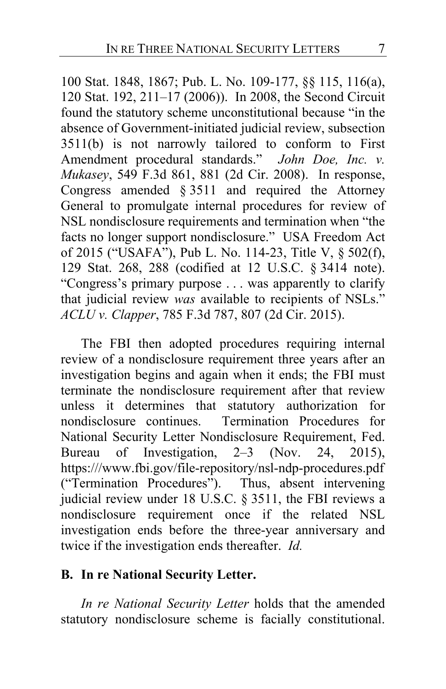100 Stat. 1848, 1867; Pub. L. No. 109-177, §§ 115, 116(a), 120 Stat. 192, 211–17 (2006)). In 2008, the Second Circuit found the statutory scheme unconstitutional because "in the absence of Government-initiated judicial review, subsection 3511(b) is not narrowly tailored to conform to First Amendment procedural standards." *John Doe, Inc. v. Mukasey*, 549 F.3d 861, 881 (2d Cir. 2008). In response, Congress amended § 3511 and required the Attorney General to promulgate internal procedures for review of NSL nondisclosure requirements and termination when "the facts no longer support nondisclosure." USA Freedom Act of 2015 ("USAFA"), Pub L. No. 114-23, Title V, § 502(f), 129 Stat. 268, 288 (codified at 12 U.S.C. § 3414 note). "Congress's primary purpose . . . was apparently to clarify that judicial review *was* available to recipients of NSLs." *ACLU v. Clapper*, 785 F.3d 787, 807 (2d Cir. 2015).

The FBI then adopted procedures requiring internal review of a nondisclosure requirement three years after an investigation begins and again when it ends; the FBI must terminate the nondisclosure requirement after that review unless it determines that statutory authorization for nondisclosure continues. Termination Procedures for National Security Letter Nondisclosure Requirement, Fed. Bureau of Investigation, 2–3 (Nov. 24, 2015), https:///www.fbi.gov/file-repository/nsl-ndp-procedures.pdf ("Termination Procedures"). Thus, absent intervening judicial review under 18 U.S.C. § 3511, the FBI reviews a nondisclosure requirement once if the related NSL investigation ends before the three-year anniversary and twice if the investigation ends thereafter. *Id.*

# **B. In re National Security Letter.**

*In re National Security Letter* holds that the amended statutory nondisclosure scheme is facially constitutional.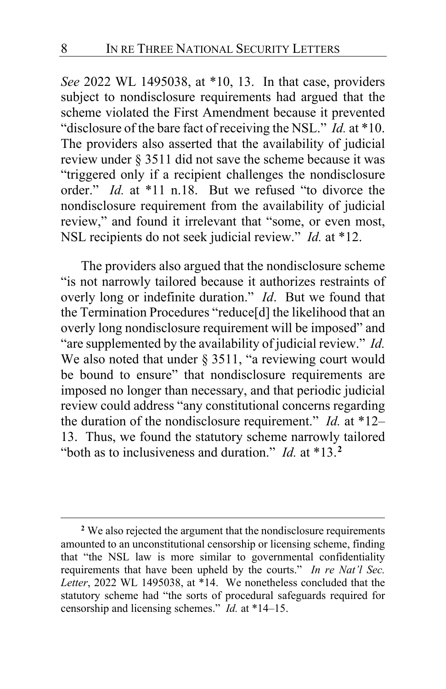*See* 2022 WL 1495038, at \*10, 13. In that case, providers subject to nondisclosure requirements had argued that the scheme violated the First Amendment because it prevented "disclosure of the bare fact of receiving the NSL." *Id.* at \*10. The providers also asserted that the availability of judicial review under § 3511 did not save the scheme because it was "triggered only if a recipient challenges the nondisclosure order." *Id.* at \*11 n.18. But we refused "to divorce the nondisclosure requirement from the availability of judicial review," and found it irrelevant that "some, or even most, NSL recipients do not seek judicial review." *Id.* at \*12.

The providers also argued that the nondisclosure scheme "is not narrowly tailored because it authorizes restraints of overly long or indefinite duration." *Id*. But we found that the Termination Procedures "reduce[d] the likelihood that an overly long nondisclosure requirement will be imposed" and "are supplemented by the availability of judicial review." *Id.* We also noted that under § 3511, "a reviewing court would be bound to ensure" that nondisclosure requirements are imposed no longer than necessary, and that periodic judicial review could address "any constitutional concerns regarding the duration of the nondisclosure requirement." *Id.* at \*12– 13. Thus, we found the statutory scheme narrowly tailored "both as to inclusiveness and duration." *Id.* at \*13.**[2](#page-7-0)**

<span id="page-7-0"></span>**<sup>2</sup>** We also rejected the argument that the nondisclosure requirements amounted to an unconstitutional censorship or licensing scheme, finding that "the NSL law is more similar to governmental confidentiality requirements that have been upheld by the courts." *In re Nat'l Sec. Letter*, 2022 WL 1495038, at \*14. We nonetheless concluded that the statutory scheme had "the sorts of procedural safeguards required for censorship and licensing schemes." *Id.* at \*14–15.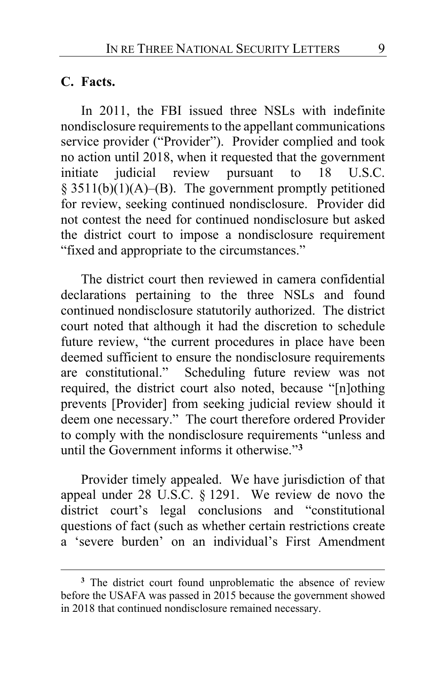## **C. Facts.**

In 2011, the FBI issued three NSLs with indefinite nondisclosure requirements to the appellant communications service provider ("Provider"). Provider complied and took no action until 2018, when it requested that the government initiate judicial review pursuant to 18 U.S.C.  $§$  3511(b)(1)(A)–(B). The government promptly petitioned for review, seeking continued nondisclosure. Provider did not contest the need for continued nondisclosure but asked the district court to impose a nondisclosure requirement "fixed and appropriate to the circumstances."

The district court then reviewed in camera confidential declarations pertaining to the three NSLs and found continued nondisclosure statutorily authorized. The district court noted that although it had the discretion to schedule future review, "the current procedures in place have been deemed sufficient to ensure the nondisclosure requirements are constitutional." Scheduling future review was not required, the district court also noted, because "[n]othing prevents [Provider] from seeking judicial review should it deem one necessary." The court therefore ordered Provider to comply with the nondisclosure requirements "unless and until the Government informs it otherwise."**[3](#page-8-0)**

Provider timely appealed. We have jurisdiction of that appeal under 28 U.S.C. § 1291. We review de novo the district court's legal conclusions and "constitutional questions of fact (such as whether certain restrictions create a 'severe burden' on an individual's First Amendment

<span id="page-8-0"></span>**<sup>3</sup>** The district court found unproblematic the absence of review before the USAFA was passed in 2015 because the government showed in 2018 that continued nondisclosure remained necessary.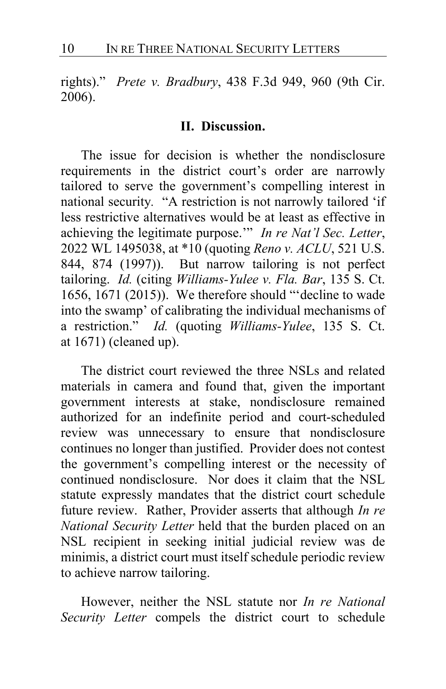rights)." *Prete v. Bradbury*, 438 F.3d 949, 960 (9th Cir. 2006).

## **II. Discussion.**

The issue for decision is whether the nondisclosure requirements in the district court's order are narrowly tailored to serve the government's compelling interest in national security*.* "A restriction is not narrowly tailored 'if less restrictive alternatives would be at least as effective in achieving the legitimate purpose.'" *In re Nat'l Sec. Letter*, 2022 WL 1495038, at \*10 (quoting *Reno v. ACLU*, 521 U.S. 844, 874 (1997)). But narrow tailoring is not perfect tailoring. *Id.* (citing *Williams-Yulee v. Fla. Bar*, 135 S. Ct. 1656, 1671 (2015)). We therefore should "'decline to wade into the swamp' of calibrating the individual mechanisms of a restriction." *Id.* (quoting *Williams-Yulee*, 135 S. Ct. at 1671) (cleaned up).

The district court reviewed the three NSLs and related materials in camera and found that, given the important government interests at stake, nondisclosure remained authorized for an indefinite period and court-scheduled review was unnecessary to ensure that nondisclosure continues no longer than justified. Provider does not contest the government's compelling interest or the necessity of continued nondisclosure. Nor does it claim that the NSL statute expressly mandates that the district court schedule future review. Rather, Provider asserts that although *In re National Security Letter* held that the burden placed on an NSL recipient in seeking initial judicial review was de minimis, a district court must itself schedule periodic review to achieve narrow tailoring.

However, neither the NSL statute nor *In re National Security Letter* compels the district court to schedule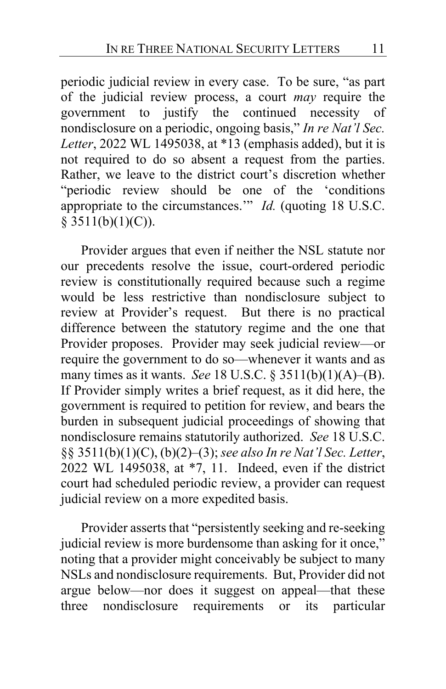periodic judicial review in every case. To be sure, "as part of the judicial review process, a court *may* require the government to justify the continued necessity of nondisclosure on a periodic, ongoing basis," *In re Nat'l Sec. Letter*, 2022 WL 1495038, at \*13 (emphasis added), but it is not required to do so absent a request from the parties. Rather, we leave to the district court's discretion whether "periodic review should be one of the 'conditions appropriate to the circumstances.'" *Id.* (quoting 18 U.S.C.  $§ 3511(b)(1)(C)).$ 

Provider argues that even if neither the NSL statute nor our precedents resolve the issue, court-ordered periodic review is constitutionally required because such a regime would be less restrictive than nondisclosure subject to review at Provider's request. But there is no practical difference between the statutory regime and the one that Provider proposes. Provider may seek judicial review—or require the government to do so—whenever it wants and as many times as it wants. *See* 18 U.S.C. § 3511(b)(1)(A)–(B). If Provider simply writes a brief request, as it did here, the government is required to petition for review, and bears the burden in subsequent judicial proceedings of showing that nondisclosure remains statutorily authorized. *See* 18 U.S.C. §§ 3511(b)(1)(C), (b)(2)–(3); *see also In re Nat'l Sec. Letter*, 2022 WL 1495038, at \*7, 11. Indeed, even if the district court had scheduled periodic review, a provider can request judicial review on a more expedited basis.

Provider asserts that "persistently seeking and re-seeking judicial review is more burdensome than asking for it once," noting that a provider might conceivably be subject to many NSLs and nondisclosure requirements. But, Provider did not argue below—nor does it suggest on appeal—that these three nondisclosure requirements or its particular